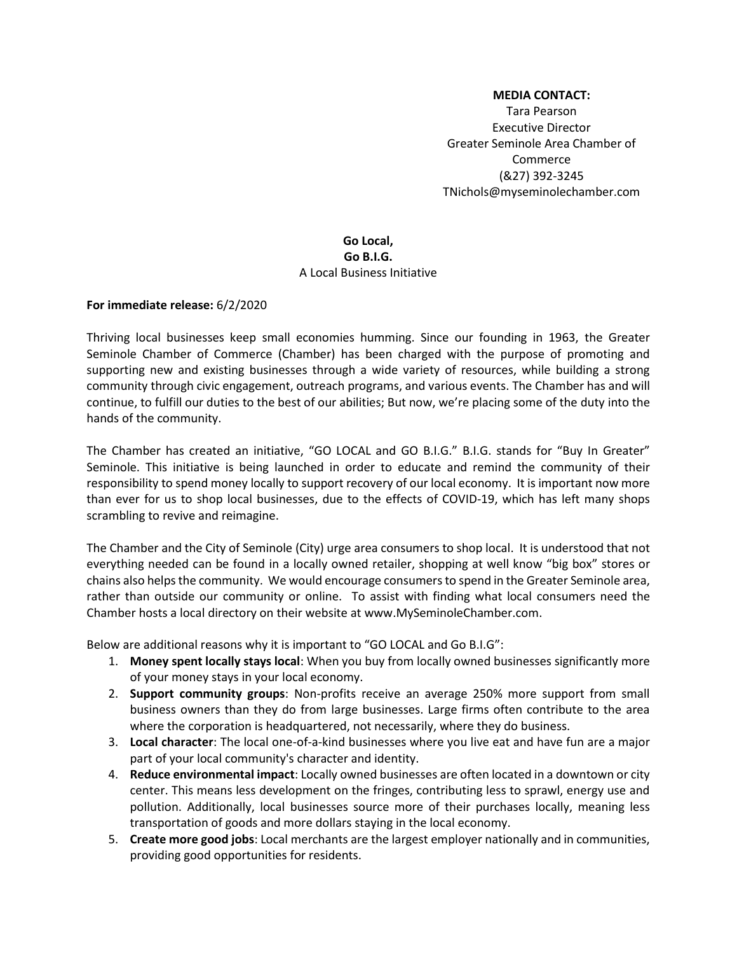## **MEDIA CONTACT:**

Tara Pearson Executive Director Greater Seminole Area Chamber of Commerce (&27) 392-3245 TNichols@myseminolechamber.com

## **Go Local, Go B.I.G.** A Local Business Initiative

## **For immediate release:** 6/2/2020

Thriving local businesses keep small economies humming. Since our founding in 1963, the Greater Seminole Chamber of Commerce (Chamber) has been charged with the purpose of promoting and supporting new and existing businesses through a wide variety of resources, while building a strong community through civic engagement, outreach programs, and various events. The Chamber has and will continue, to fulfill our duties to the best of our abilities; But now, we're placing some of the duty into the hands of the community.

The Chamber has created an initiative, "GO LOCAL and GO B.I.G." B.I.G. stands for "Buy In Greater" Seminole. This initiative is being launched in order to educate and remind the community of their responsibility to spend money locally to support recovery of our local economy. It is important now more than ever for us to shop local businesses, due to the effects of COVID-19, which has left many shops scrambling to revive and reimagine.

The Chamber and the City of Seminole (City) urge area consumers to shop local. It is understood that not everything needed can be found in a locally owned retailer, shopping at well know "big box" stores or chains also helps the community. We would encourage consumers to spend in the Greater Seminole area, rather than outside our community or online. To assist with finding what local consumers need the Chamber hosts a local directory on their website at www.MySeminoleChamber.com.

Below are additional reasons why it is important to "GO LOCAL and Go B.I.G":

- 1. **Money spent locally stays local**: When you buy from locally owned businesses significantly more of your money stays in your local economy.
- 2. **Support community groups**: Non-profits receive an average 250% more support from small business owners than they do from large businesses. Large firms often contribute to the area where the corporation is headquartered, not necessarily, where they do business.
- 3. **Local character**: The local one-of-a-kind businesses where you live eat and have fun are a major part of your local community's character and identity.
- 4. **Reduce environmental impact**: Locally owned businesses are often located in a downtown or city center. This means less development on the fringes, contributing less to sprawl, energy use and pollution. Additionally, local businesses source more of their purchases locally, meaning less transportation of goods and more dollars staying in the local economy.
- 5. **Create more good jobs**: Local merchants are the largest employer nationally and in communities, providing good opportunities for residents.